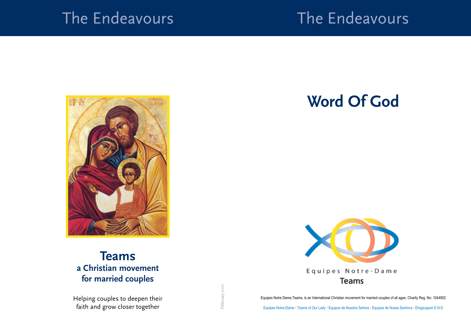### The Endeavours

# The Endeavours



### **Teams a Christian movement for married couples**

Helping couples to deepen their faith and grow closer together

## **Word Of God**



Equipes Notre Dame,Teams, is an International Christian movement for married couples of all ages. Charity Reg. No: 1044902

Equipes Notre-Dame • Teams of Our Lady • Equipos de Nuestra Señora • Equipas de Nossa Senhora • Ehegruppen E.N.D